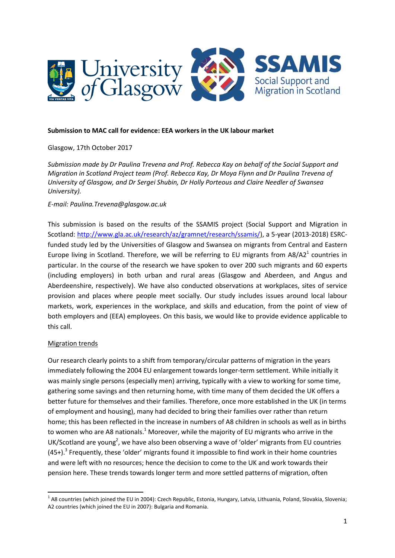

#### **Submission to MAC call for evidence: EEA workers in the UK labour market**

### Glasgow, 17th October 2017

*Submission made by Dr Paulina Trevena and Prof. Rebecca Kay on behalf of the Social Support and Migration in Scotland Project team (Prof. Rebecca Kay, Dr Moya Flynn and Dr Paulina Trevena of University of Glasgow, and Dr Sergei Shubin, Dr Holly Porteous and Claire Needler of Swansea University).* 

### *E-mail: Paulina.Trevena@glasgow.ac.uk*

This submission is based on the results of the SSAMIS project (Social Support and Migration in Scotland: [http://www.gla.ac.uk/research/az/gramnet/research/ssamis/\)](http://www.gla.ac.uk/research/az/gramnet/research/ssamis/), a 5-year (2013-2018) ESRCfunded study led by the Universities of Glasgow and Swansea on migrants from Central and Eastern Europe living in Scotland. Therefore, we will be referring to EU migrants from  $A8/A2<sup>1</sup>$  countries in particular. In the course of the research we have spoken to over 200 such migrants and 60 experts (including employers) in both urban and rural areas (Glasgow and Aberdeen, and Angus and Aberdeenshire, respectively). We have also conducted observations at workplaces, sites of service provision and places where people meet socially. Our study includes issues around local labour markets, work, experiences in the workplace, and skills and education, from the point of view of both employers and (EEA) employees. On this basis, we would like to provide evidence applicable to this call.

### Migration trends

**.** 

Our research clearly points to a shift from temporary/circular patterns of migration in the years immediately following the 2004 EU enlargement towards longer-term settlement. While initially it was mainly single persons (especially men) arriving, typically with a view to working for some time, gathering some savings and then returning home, with time many of them decided the UK offers a better future for themselves and their families. Therefore, once more established in the UK (in terms of employment and housing), many had decided to bring their families over rather than return home; this has been reflected in the increase in numbers of A8 children in schools as well as in births to women who are A8 nationals.<sup>1</sup> Moreover, while the majority of EU migrants who arrive in the UK/Scotland are young<sup>2</sup>, we have also been observing a wave of 'older' migrants from EU countries  $(45+)$ .<sup>3</sup> Frequently, these 'older' migrants found it impossible to find work in their home countries and were left with no resources; hence the decision to come to the UK and work towards their pension here. These trends towards longer term and more settled patterns of migration, often

<sup>&</sup>lt;sup>1</sup> A8 countries (which joined the EU in 2004): Czech Republic, Estonia, Hungary, Latvia, Lithuania, Poland, Slovakia, Slovenia; A2 countries (which joined the EU in 2007): Bulgaria and Romania.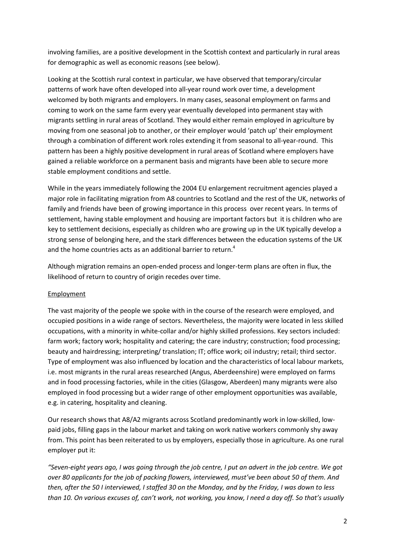involving families, are a positive development in the Scottish context and particularly in rural areas for demographic as well as economic reasons (see below).

Looking at the Scottish rural context in particular, we have observed that temporary/circular patterns of work have often developed into all-year round work over time, a development welcomed by both migrants and employers. In many cases, seasonal employment on farms and coming to work on the same farm every year eventually developed into permanent stay with migrants settling in rural areas of Scotland. They would either remain employed in agriculture by moving from one seasonal job to another, or their employer would 'patch up' their employment through a combination of different work roles extending it from seasonal to all-year-round. This pattern has been a highly positive development in rural areas of Scotland where employers have gained a reliable workforce on a permanent basis and migrants have been able to secure more stable employment conditions and settle.

While in the years immediately following the 2004 EU enlargement recruitment agencies played a major role in facilitating migration from A8 countries to Scotland and the rest of the UK, networks of family and friends have been of growing importance in this process over recent years. In terms of settlement, having stable employment and housing are important factors but it is children who are key to settlement decisions, especially as children who are growing up in the UK typically develop a strong sense of belonging here, and the stark differences between the education systems of the UK and the home countries acts as an additional barrier to return.<sup>4</sup>

Although migration remains an open-ended process and longer-term plans are often in flux, the likelihood of return to country of origin recedes over time.

# Employment

The vast majority of the people we spoke with in the course of the research were employed, and occupied positions in a wide range of sectors. Nevertheless, the majority were located in less skilled occupations, with a minority in white-collar and/or highly skilled professions. Key sectors included: farm work; factory work; hospitality and catering; the care industry; construction; food processing; beauty and hairdressing; interpreting/ translation; IT; office work; oil industry; retail; third sector. Type of employment was also influenced by location and the characteristics of local labour markets, i.e. most migrants in the rural areas researched (Angus, Aberdeenshire) were employed on farms and in food processing factories, while in the cities (Glasgow, Aberdeen) many migrants were also employed in food processing but a wider range of other employment opportunities was available, e.g. in catering, hospitality and cleaning.

Our research shows that A8/A2 migrants across Scotland predominantly work in low-skilled, lowpaid jobs, filling gaps in the labour market and taking on work native workers commonly shy away from. This point has been reiterated to us by employers, especially those in agriculture. As one rural employer put it:

*"Seven-eight years ago, I was going through the job centre, I put an advert in the job centre. We got over 80 applicants for the job of packing flowers, interviewed, must've been about 50 of them. And then, after the 50 I interviewed, I staffed 30 on the Monday, and by the Friday, I was down to less than 10. On various excuses of, can't work, not working, you know, I need a day off. So that's usually*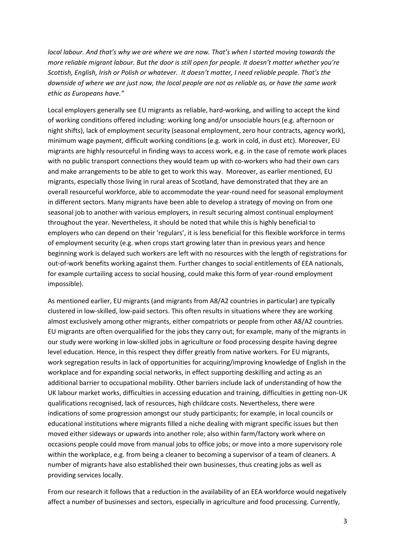*local labour. And that's why we are where we are now. That's when I started moving towards the more reliable migrant labour. But the door is still open for people. It doesn't matter whether you're Scottish, English, Irish or Polish or whatever. It doesn't matter, I need reliable people. That's the downside of where we are just now, the local people are not as reliable as, or have the same work ethic as Europeans have."*

Local employers generally see EU migrants as reliable, hard-working, and willing to accept the kind of working conditions offered including: working long and/or unsociable hours (e.g. afternoon or night shifts), lack of employment security (seasonal employment, zero hour contracts, agency work), minimum wage payment, difficult working conditions (e.g. work in cold, in dust etc). Moreover, EU migrants are highly resourceful in finding ways to access work, e.g. in the case of remote work places with no public transport connections they would team up with co-workers who had their own cars and make arrangements to be able to get to work this way. Moreover, as earlier mentioned, EU migrants, especially those living in rural areas of Scotland, have demonstrated that they are an overall resourceful workforce, able to accommodate the year-round need for seasonal employment in different sectors. Many migrants have been able to develop a strategy of moving on from one seasonal job to another with various employers, in result securing almost continual employment throughout the year. Nevertheless, it should be noted that while this is highly beneficial to employers who can depend on their 'regulars', it is less beneficial for this flexible workforce in terms of employment security (e.g. when crops start growing later than in previous years and hence beginning work is delayed such workers are left with no resources with the length of registrations for out-of-work benefits working against them. Further changes to social entitlements of EEA nationals, for example curtailing access to social housing, could make this form of year-round employment impossible).

As mentioned earlier, EU migrants (and migrants from A8/A2 countries in particular) are typically clustered in low-skilled, low-paid sectors. This often results in situations where they are working almost exclusively among other migrants, either compatriots or people from other A8/A2 countries. EU migrants are often overqualified for the jobs they carry out; for example, many of the migrants in our study were working in low-skilled jobs in agriculture or food processing despite having degree level education. Hence, in this respect they differ greatly from native workers. For EU migrants, work segregation results in lack of opportunities for acquiring/improving knowledge of English in the workplace and for expanding social networks, in effect supporting deskilling and acting as an additional barrier to occupational mobility. Other barriers include lack of understanding of how the UK labour market works, difficulties in accessing education and training, difficulties in getting non-UK qualifications recognised, lack of resources, high childcare costs. Nevertheless, there were indications of some progression amongst our study participants; for example, in local councils or educational institutions where migrants filled a niche dealing with migrant specific issues but then moved either sideways or upwards into another role; also within farm/factory work where on occasions people could move from manual jobs to office jobs; or move into a more supervisory role within the workplace, e.g. from being a cleaner to becoming a supervisor of a team of cleaners. A number of migrants have also established their own businesses, thus creating jobs as well as providing services locally.

From our research it follows that a reduction in the availability of an EEA workforce would negatively affect a number of businesses and sectors, especially in agriculture and food processing. Currently,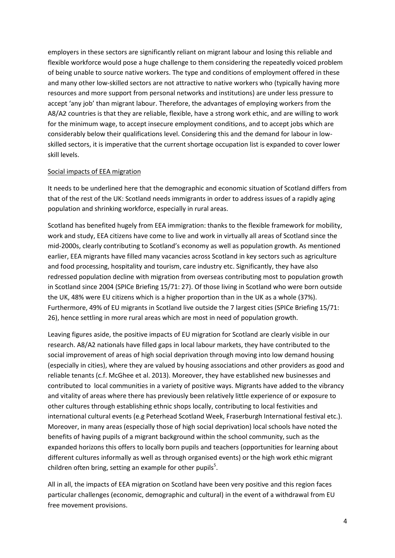employers in these sectors are significantly reliant on migrant labour and losing this reliable and flexible workforce would pose a huge challenge to them considering the repeatedly voiced problem of being unable to source native workers. The type and conditions of employment offered in these and many other low-skilled sectors are not attractive to native workers who (typically having more resources and more support from personal networks and institutions) are under less pressure to accept 'any job' than migrant labour. Therefore, the advantages of employing workers from the A8/A2 countries is that they are reliable, flexible, have a strong work ethic, and are willing to work for the minimum wage, to accept insecure employment conditions, and to accept jobs which are considerably below their qualifications level. Considering this and the demand for labour in lowskilled sectors, it is imperative that the current shortage occupation list is expanded to cover lower skill levels.

## Social impacts of EEA migration

It needs to be underlined here that the demographic and economic situation of Scotland differs from that of the rest of the UK: Scotland needs immigrants in order to address issues of a rapidly aging population and shrinking workforce, especially in rural areas.

Scotland has benefited hugely from EEA immigration: thanks to the flexible framework for mobility, work and study, EEA citizens have come to live and work in virtually all areas of Scotland since the mid-2000s, clearly contributing to Scotland's economy as well as population growth. As mentioned earlier, EEA migrants have filled many vacancies across Scotland in key sectors such as agriculture and food processing, hospitality and tourism, care industry etc. Significantly, they have also redressed population decline with migration from overseas contributing most to population growth in Scotland since 2004 (SPICe Briefing 15/71: 27). Of those living in Scotland who were born outside the UK, 48% were EU citizens which is a higher proportion than in the UK as a whole (37%). Furthermore, 49% of EU migrants in Scotland live outside the 7 largest cities (SPICe Briefing 15/71: 26), hence settling in more rural areas which are most in need of population growth.

Leaving figures aside, the positive impacts of EU migration for Scotland are clearly visible in our research. A8/A2 nationals have filled gaps in local labour markets, they have contributed to the social improvement of areas of high social deprivation through moving into low demand housing (especially in cities), where they are valued by housing associations and other providers as good and reliable tenants (c.f. McGhee et al. 2013). Moreover, they have established new businesses and contributed to local communities in a variety of positive ways. Migrants have added to the vibrancy and vitality of areas where there has previously been relatively little experience of or exposure to other cultures through establishing ethnic shops locally, contributing to local festivities and international cultural events (e.g Peterhead Scotland Week, Fraserburgh International festival etc.). Moreover, in many areas (especially those of high social deprivation) local schools have noted the benefits of having pupils of a migrant background within the school community, such as the expanded horizons this offers to locally born pupils and teachers (opportunities for learning about different cultures informally as well as through organised events) or the high work ethic migrant children often bring, setting an example for other pupils<sup>5</sup>.

All in all, the impacts of EEA migration on Scotland have been very positive and this region faces particular challenges (economic, demographic and cultural) in the event of a withdrawal from EU free movement provisions.